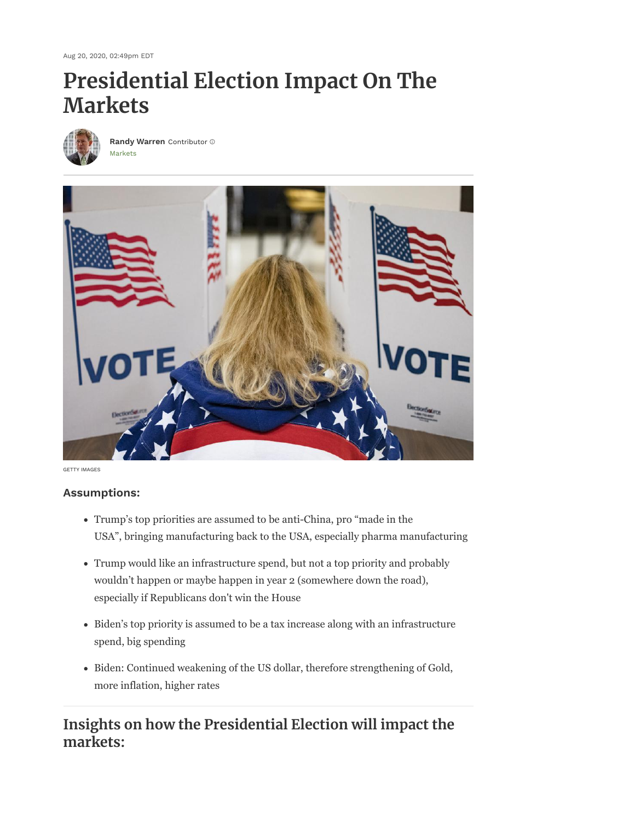Aug 20, 2020, 02:49pm EDT

# **Presidential Election Impact On The Markets**



[Markets](https://www.forbes.com/markets) **[Randy Warren](https://www.forbes.com/sites/randywarren/)** Contributor



GETTY IMAGES

# **Assumptions:**

- Trump's top priorities are assumed to be anti-China, pro "made in the USA", bringing manufacturing back to the USA, especially pharma manufacturing
- Trump would like an infrastructure spend, but not a top priority and probably wouldn't happen or maybe happen in year 2 (somewhere down the road), especially if Republicans don't win the House
- Biden's top priority is assumed to be a tax increase along with an infrastructure spend, big spending
- Biden: Continued weakening of the US dollar, therefore strengthening of Gold, more inflation, higher rates

# **Insights on how the Presidential Election will impact the markets:**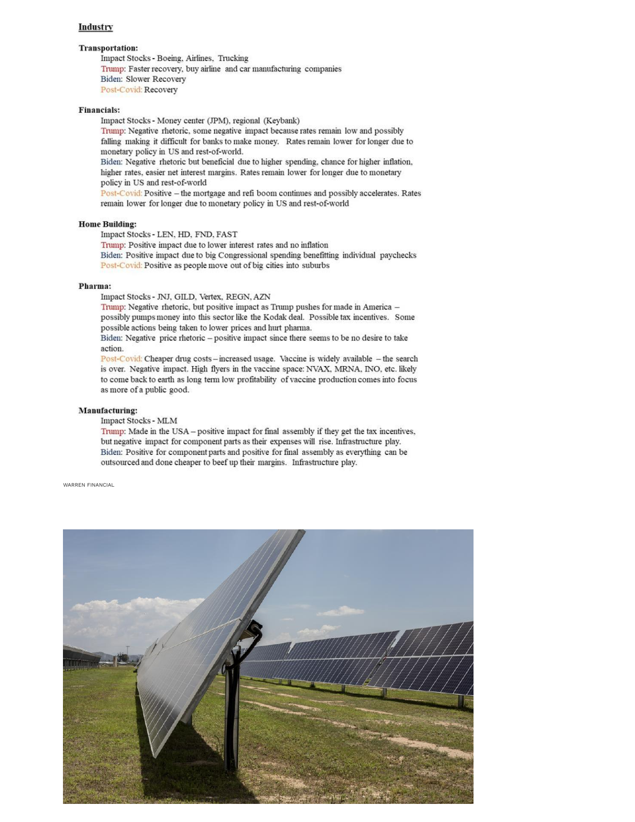# Industry

# **Transportation:**

Impact Stocks - Boeing, Airlines, Trucking Trump: Faster recovery, buy airline and car manufacturing companies Biden: Slower Recovery Post-Covid: Recovery

# **Financials:**

Impact Stocks - Money center (JPM), regional (Keybank)

Trump: Negative rhetoric, some negative impact because rates remain low and possibly falling making it difficult for banks to make money. Rates remain lower for longer due to monetary policy in US and rest-of-world.

Biden: Negative rhetoric but beneficial due to higher spending, chance for higher inflation, higher rates, easier net interest margins. Rates remain lower for longer due to monetary policy in US and rest-of-world

Post-Covid: Positive - the mortgage and refi boom continues and possibly accelerates. Rates remain lower for longer due to monetary policy in US and rest-of-world

# **Home Building:**

Impact Stocks - LEN, HD, FND, FAST

Trump: Positive impact due to lower interest rates and no inflation

Biden: Positive impact due to big Congressional spending benefitting individual paychecks Post-Covid: Positive as people move out of big cities into suburbs

# Pharma:

Impact Stocks - JNJ, GILD, Vertex, REGN, AZN

Trump: Negative rhetoric, but positive impact as Trump pushes for made in America possibly pumps money into this sector like the Kodak deal. Possible tax incentives. Some possible actions being taken to lower prices and hurt pharma.

Biden: Negative price rhetoric - positive impact since there seems to be no desire to take action.

Post-Covid: Cheaper drug costs - increased usage. Vaccine is widely available - the search is over. Negative impact. High flyers in the vaccine space: NVAX, MRNA, INO, etc. likely to come back to earth as long term low profitability of vaccine production comes into focus as more of a public good.

# **Manufacturing:**

# Impact Stocks - MLM

Trump: Made in the USA - positive impact for final assembly if they get the tax incentives, but negative impact for component parts as their expenses will rise. Infrastructure play. Biden: Positive for component parts and positive for final assembly as everything can be outsourced and done cheaper to beef up their margins. Infrastructure play.

#### WARREN FINANCIAL

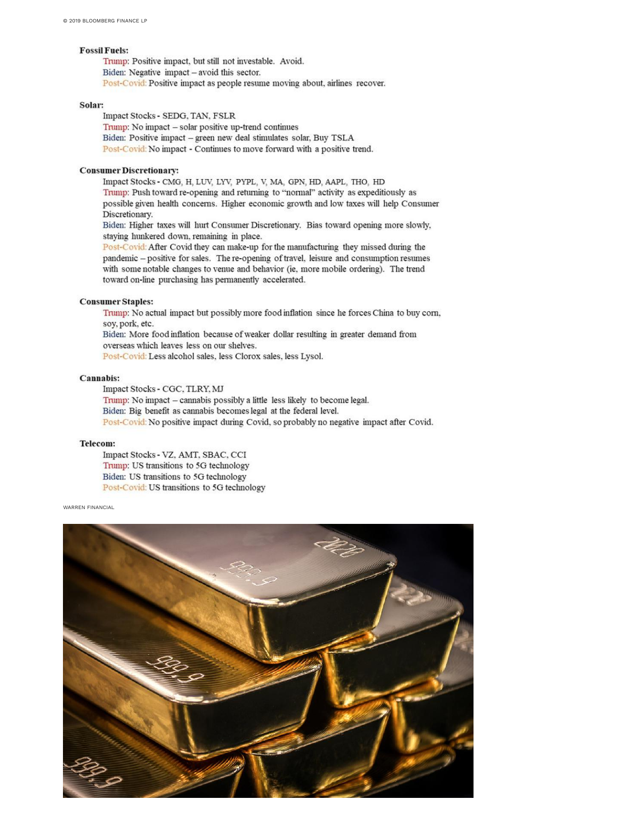# **Fossil Fuels:**

Trump: Positive impact, but still not investable. Avoid. Biden: Negative impact - avoid this sector. Post-Covid: Positive impact as people resume moving about, airlines recover.

# Solar:

Impact Stocks - SEDG, TAN, FSLR Trump: No impact - solar positive up-trend continues Biden: Positive impact - green new deal stimulates solar, Buy TSLA Post-Covid: No impact - Continues to move forward with a positive trend.

# **Consumer Discretionary:**

Impact Stocks - CMG, H, LUV, LYV, PYPL, V, MA, GPN, HD, AAPL, THO, HD Trump: Push toward re-opening and returning to "normal" activity as expeditiously as possible given health concerns. Higher economic growth and low taxes will help Consumer Discretionary.

Biden: Higher taxes will hurt Consumer Discretionary. Bias toward opening more slowly, staying hunkered down, remaining in place.

Post-Covid: After Covid they can make-up for the manufacturing they missed during the pandemic - positive for sales. The re-opening of travel, leisure and consumption resumes with some notable changes to venue and behavior (ie, more mobile ordering). The trend toward on-line purchasing has permanently accelerated.

# **Consumer Staples:**

Trump: No actual impact but possibly more food inflation since he forces China to buy corn, sov, pork, etc. Biden: More food inflation because of weaker dollar resulting in greater demand from

overseas which leaves less on our shelves.

Post-Covid: Less alcohol sales, less Clorox sales, less Lysol.

# Cannabis:

Impact Stocks - CGC, TLRY, MJ Trump: No impact - cannabis possibly a little less likely to become legal. Biden: Big benefit as cannabis becomes legal at the federal level. Post-Covid: No positive impact during Covid, so probably no negative impact after Covid.

# **Telecom:**

Impact Stocks - VZ, AMT, SBAC, CCI Trump: US transitions to 5G technology Biden: US transitions to 5G technology Post-Covid: US transitions to 5G technology

WARREN FINANCIAL

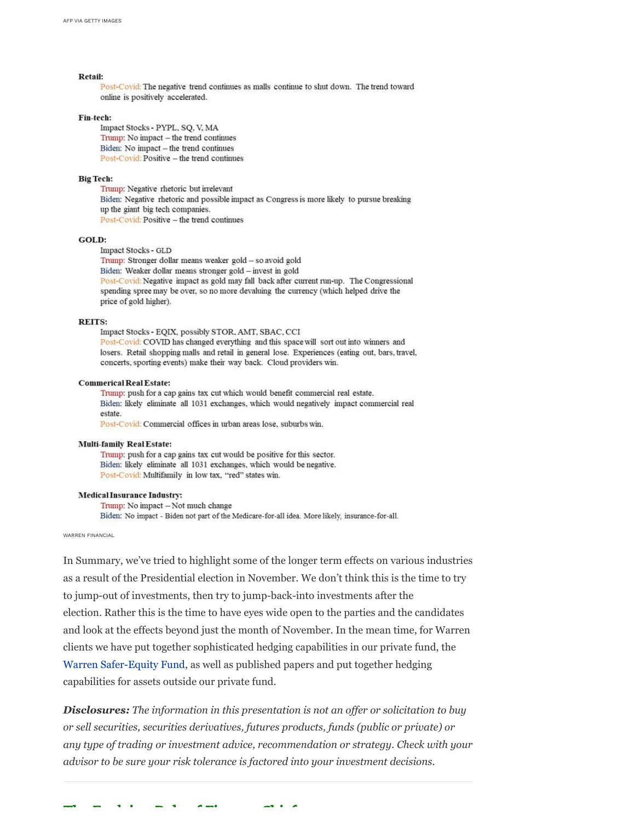## Retail:

Post-Covid: The negative trend continues as malls continue to shut down. The trend toward online is positively accelerated.

#### Fin-tech:

Impact Stocks - PYPL, SQ, V, MA Trump: No impact - the trend continues Biden: No impact - the trend continues Post-Covid: Positive - the trend continues

# **Big Tech:**

Trump: Negative rhetoric but irrelevant Biden: Negative rhetoric and possible impact as Congress is more likely to pursue breaking up the giant big tech companies. Post-Covid: Positive - the trend continues

# GOLD:

Impact Stocks - GLD Trump: Stronger dollar means weaker gold - so avoid gold Biden: Weaker dollar means stronger gold - invest in gold Post-Covid: Negative impact as gold may fall back after current run-up. The Congressional spending spree may be over, so no more devaluing the currency (which helped drive the price of gold higher).

# **REITS:**

Impact Stocks - EQIX, possibly STOR, AMT, SBAC, CCI Post-Covid: COVID has changed everything and this space will sort out into winners and losers. Retail shopping malls and retail in general lose. Experiences (eating out, bars, travel, concerts, sporting events) make their way back. Cloud providers win.

### **Commerical Real Estate:**

Trump: push for a cap gains tax cut which would benefit commercial real estate. Biden: likely eliminate all 1031 exchanges, which would negatively impact commercial real estate.

Post-Covid: Commercial offices in urban areas lose, suburbs win.

# **Multi-family Real Estate:**

Trump: push for a cap gains tax cut would be positive for this sector. Biden: likely eliminate all 1031 exchanges, which would be negative. Post-Covid: Multifamily in low tax, "red" states win.

#### **Medical Insurance Industry:**

Trump: No impact - Not much change Biden: No impact - Biden not part of the Medicare-for-all idea. More likely, insurance-for-all.

WARREN FINANCIAL

In Summary, we've tried to highlight some of the longer term effects on various industries as a result of the Presidential election in November. We don't think this is the time to try to jump-out of investments, then try to jump-back-into investments after the election. Rather this is the time to have eyes wide open to the parties and the candidates and look at the effects beyond just the month of November. In the mean time, for Warren clients we have put together sophisticated hedging capabilities in our private fund, the Warren Safer-Equity Fund, as well as published papers and put together hedging capabilities for assets outside our private fund.

**Disclosures:** The information in this presentation is not an offer or solicitation to buy or sell securities, securities derivatives, futures products, funds (public or private) or any type of trading or investment advice, recommendation or strategy. Check with your advisor to be sure your risk tolerance is factored into your investment decisions.